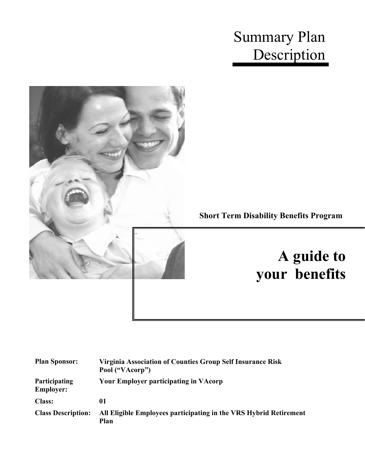# Summary Plan Description



| <b>Plan Sponsor:</b>              | Virginia Association of Counties Group Self Insurance Risk<br>Pool ("VAcorp") |
|-----------------------------------|-------------------------------------------------------------------------------|
| Participating<br><b>Employer:</b> | <b>Your Employer participating in VAcorp</b>                                  |
| <b>Class:</b>                     | 01                                                                            |
| <b>Class Description:</b>         | All Eligible Employees participating in the VRS Hybrid Retirement<br>Plan     |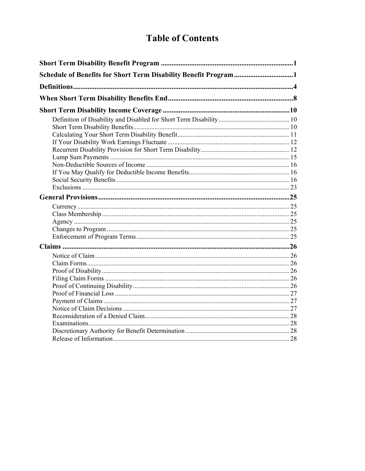# **Table of Contents**

| Schedule of Benefits for Short Term Disability Benefit Program1 |  |
|-----------------------------------------------------------------|--|
|                                                                 |  |
|                                                                 |  |
|                                                                 |  |
|                                                                 |  |
|                                                                 |  |
|                                                                 |  |
|                                                                 |  |
|                                                                 |  |
|                                                                 |  |
|                                                                 |  |
|                                                                 |  |
|                                                                 |  |
|                                                                 |  |
|                                                                 |  |
|                                                                 |  |
|                                                                 |  |
|                                                                 |  |
|                                                                 |  |
|                                                                 |  |
|                                                                 |  |
|                                                                 |  |
|                                                                 |  |
|                                                                 |  |
|                                                                 |  |
|                                                                 |  |
|                                                                 |  |
|                                                                 |  |
|                                                                 |  |
|                                                                 |  |
|                                                                 |  |
|                                                                 |  |
|                                                                 |  |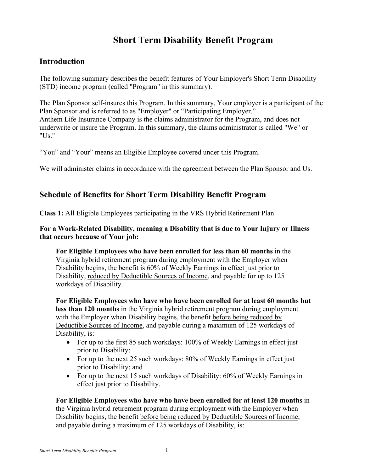### **Short Term Disability Benefit Program**

### <span id="page-2-0"></span>**Introduction**

The following summary describes the benefit features of Your Employer's Short Term Disability (STD) income program (called "Program" in this summary).

The Plan Sponsor self-insures this Program. In this summary, Your employer is a participant of the Plan Sponsor and is referred to as "Employer" or "Participating Employer." Anthem Life Insurance Company is the claims administrator for the Program, and does not underwrite or insure the Program. In this summary, the claims administrator is called "We" or "Us."

"You" and "Your" means an Eligible Employee covered under this Program.

We will administer claims in accordance with the agreement between the Plan Sponsor and Us.

### <span id="page-2-1"></span>**Schedule of Benefits for Short Term Disability Benefit Program**

**Class 1:** All Eligible Employees participating in the VRS Hybrid Retirement Plan

### **For a Work-Related Disability, meaning a Disability that is due to Your Injury or Illness that occurs because of Your job:**

**For Eligible Employees who have been enrolled for less than 60 months** in the Virginia hybrid retirement program during employment with the Employer when Disability begins, the benefit is 60% of Weekly Earnings in effect just prior to Disability, reduced by Deductible Sources of Income, and payable for up to 125 workdays of Disability.

**For Eligible Employees who have who have been enrolled for at least 60 months but less than 120 months** in the Virginia hybrid retirement program during employment with the Employer when Disability begins, the benefit before being reduced by Deductible Sources of Income, and payable during a maximum of 125 workdays of Disability, is:

- For up to the first 85 such workdays: 100% of Weekly Earnings in effect just prior to Disability;
- For up to the next 25 such workdays: 80% of Weekly Earnings in effect just prior to Disability; and
- For up to the next 15 such workdays of Disability: 60% of Weekly Earnings in effect just prior to Disability.

**For Eligible Employees who have who have been enrolled for at least 120 months** in the Virginia hybrid retirement program during employment with the Employer when Disability begins, the benefit before being reduced by Deductible Sources of Income, and payable during a maximum of 125 workdays of Disability, is: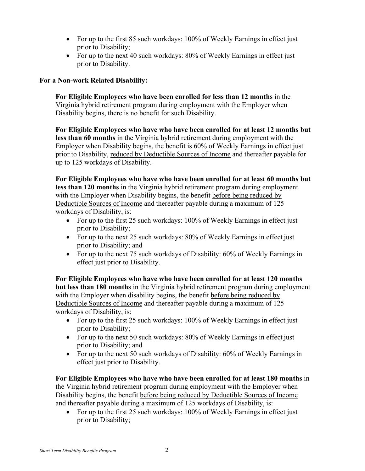- For up to the first 85 such workdays: 100% of Weekly Earnings in effect just prior to Disability;
- For up to the next 40 such workdays: 80% of Weekly Earnings in effect just prior to Disability.

### **For a Non-work Related Disability:**

**For Eligible Employees who have been enrolled for less than 12 months** in the Virginia hybrid retirement program during employment with the Employer when Disability begins, there is no benefit for such Disability.

**For Eligible Employees who have who have been enrolled for at least 12 months but less than 60 months** in the Virginia hybrid retirement during employment with the Employer when Disability begins, the benefit is 60% of Weekly Earnings in effect just prior to Disability, reduced by Deductible Sources of Income and thereafter payable for up to 125 workdays of Disability.

**For Eligible Employees who have who have been enrolled for at least 60 months but less than 120 months** in the Virginia hybrid retirement program during employment with the Employer when Disability begins, the benefit before being reduced by Deductible Sources of Income and thereafter payable during a maximum of 125 workdays of Disability, is:

- For up to the first 25 such workdays: 100% of Weekly Earnings in effect just prior to Disability;
- For up to the next 25 such workdays: 80% of Weekly Earnings in effect just prior to Disability; and
- For up to the next 75 such workdays of Disability: 60% of Weekly Earnings in effect just prior to Disability.

**For Eligible Employees who have who have been enrolled for at least 120 months but less than 180 months** in the Virginia hybrid retirement program during employment with the Employer when disability begins, the benefit before being reduced by Deductible Sources of Income and thereafter payable during a maximum of 125 workdays of Disability, is:

- For up to the first 25 such workdays: 100% of Weekly Earnings in effect just prior to Disability;
- For up to the next 50 such workdays: 80% of Weekly Earnings in effect just prior to Disability; and
- For up to the next 50 such workdays of Disability: 60% of Weekly Earnings in effect just prior to Disability.

**For Eligible Employees who have who have been enrolled for at least 180 months** in the Virginia hybrid retirement program during employment with the Employer when Disability begins, the benefit before being reduced by Deductible Sources of Income and thereafter payable during a maximum of 125 workdays of Disability, is:

• For up to the first 25 such workdays: 100% of Weekly Earnings in effect just prior to Disability;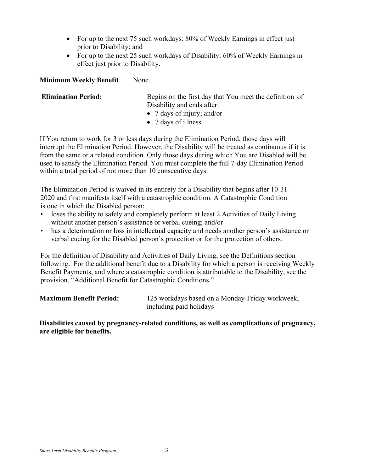- For up to the next 75 such workdays: 80% of Weekly Earnings in effect just prior to Disability; and
- For up to the next 25 such workdays of Disability: 60% of Weekly Earnings in effect just prior to Disability.

### **Minimum Weekly Benefit** None.

**Elimination Period:** Begins on the first day that You meet the definition of Disability and ends after:

- 7 days of injury; and/or
- 7 days of illness

If You return to work for 3 or less days during the Elimination Period, those days will interrupt the Elimination Period. However, the Disability will be treated as continuous if it is from the same or a related condition. Only those days during which You are Disabled will be used to satisfy the Elimination Period. You must complete the full 7-day Elimination Period within a total period of not more than 10 consecutive days.

The Elimination Period is waived in its entirety for a Disability that begins after 10-31- 2020 and first manifests itself with a catastrophic condition. A Catastrophic Condition is one in which the Disabled person:

- loses the ability to safely and completely perform at least 2 Activities of Daily Living without another person's assistance or verbal cueing; and/or
- has a deterioration or loss in intellectual capacity and needs another person's assistance or verbal cueing for the Disabled person's protection or for the protection of others.

For the definition of Disability and Activities of Daily Living, see the Definitions section following. For the additional benefit due to a Disability for which a person is receiving Weekly Benefit Payments, and where a catastrophic condition is attributable to the Disability, see the provision, "Additional Benefit for Catastrophic Conditions."

| <b>Maximum Benefit Period:</b> | 125 workdays based on a Monday-Friday workweek, |
|--------------------------------|-------------------------------------------------|
|                                | including paid holidays                         |

#### **Disabilities caused by pregnancy-related conditions, as well as complications of pregnancy, are eligible for benefits.**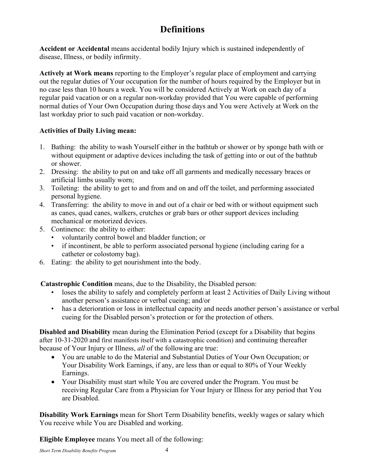## **Definitions**

<span id="page-5-0"></span>**Accident or Accidental** means accidental bodily Injury which is sustained independently of disease, Illness, or bodily infirmity.

**Actively at Work means** reporting to the Employer's regular place of employment and carrying out the regular duties of Your occupation for the number of hours required by the Employer but in no case less than 10 hours a week. You will be considered Actively at Work on each day of a regular paid vacation or on a regular non-workday provided that You were capable of performing normal duties of Your Own Occupation during those days and You were Actively at Work on the last workday prior to such paid vacation or non-workday.

### **Activities of Daily Living mean:**

- 1. Bathing: the ability to wash Yourself either in the bathtub or shower or by sponge bath with or without equipment or adaptive devices including the task of getting into or out of the bathtub or shower.
- 2. Dressing: the ability to put on and take off all garments and medically necessary braces or artificial limbs usually worn;
- 3. Toileting: the ability to get to and from and on and off the toilet, and performing associated personal hygiene.
- 4. Transferring: the ability to move in and out of a chair or bed with or without equipment such as canes, quad canes, walkers, crutches or grab bars or other support devices including mechanical or motorized devices.
- 5. Continence: the ability to either:
	- voluntarily control bowel and bladder function; or
	- if incontinent, be able to perform associated personal hygiene (including caring for a catheter or colostomy bag).
- 6. Eating: the ability to get nourishment into the body.

**Catastrophic Condition** means, due to the Disability, the Disabled person:

- loses the ability to safely and completely perform at least 2 Activities of Daily Living without another person's assistance or verbal cueing; and/or
- has a deterioration or loss in intellectual capacity and needs another person's assistance or verbal cueing for the Disabled person's protection or for the protection of others.

**Disabled and Disability** mean during the Elimination Period (except for a Disability that begins after 10-31-2020 and first manifests itself with a catastrophic condition) and continuing thereafter because of Your Injury or Illness, *all* of the following are true:

- You are unable to do the Material and Substantial Duties of Your Own Occupation; or Your Disability Work Earnings, if any, are less than or equal to 80% of Your Weekly Earnings.
- Your Disability must start while You are covered under the Program. You must be receiving Regular Care from a Physician for Your Injury or Illness for any period that You are Disabled.

**Disability Work Earnings** mean for Short Term Disability benefits, weekly wages or salary which You receive while You are Disabled and working.

**Eligible Employee** means You meet all of the following: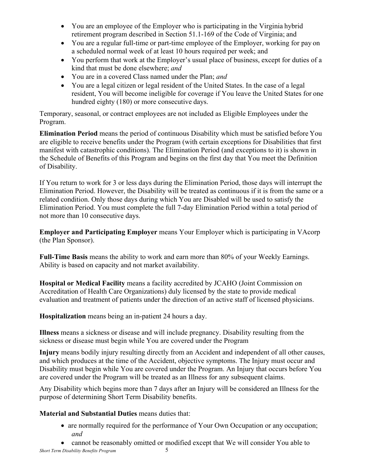- You are an employee of the Employer who is participating in the Virginia hybrid retirement program described in Section 51.1-169 of the Code of Virginia; and
- You are a regular full-time or part-time employee of the Employer, working for pay on a scheduled normal week of at least 10 hours required per week; and
- You perform that work at the Employer's usual place of business, except for duties of a kind that must be done elsewhere; *and*
- You are in a covered Class named under the Plan; *and*
- You are a legal citizen or legal resident of the United States. In the case of a legal resident, You will become ineligible for coverage if You leave the United States for one hundred eighty (180) or more consecutive days.

Temporary, seasonal, or contract employees are not included as Eligible Employees under the Program.

**Elimination Period** means the period of continuous Disability which must be satisfied before You are eligible to receive benefits under the Program (with certain exceptions for Disabilities that first manifest with catastrophic conditions). The Elimination Period (and exceptions to it) is shown in the Schedule of Benefits of this Program and begins on the first day that You meet the Definition of Disability.

If You return to work for 3 or less days during the Elimination Period, those days will interrupt the Elimination Period. However, the Disability will be treated as continuous if it is from the same or a related condition. Only those days during which You are Disabled will be used to satisfy the Elimination Period. You must complete the full 7-day Elimination Period within a total period of not more than 10 consecutive days.

**Employer and Participating Employer** means Your Employer which is participating in VAcorp (the Plan Sponsor).

**Full-Time Basis** means the ability to work and earn more than 80% of your Weekly Earnings. Ability is based on capacity and not market availability.

**Hospital or Medical Facility** means a facility accredited by JCAHO (Joint Commission on Accreditation of Health Care Organizations) duly licensed by the state to provide medical evaluation and treatment of patients under the direction of an active staff of licensed physicians.

**Hospitalization** means being an in-patient 24 hours a day.

**Illness** means a sickness or disease and will include pregnancy. Disability resulting from the sickness or disease must begin while You are covered under the Program

**Injury** means bodily injury resulting directly from an Accident and independent of all other causes, and which produces at the time of the Accident, objective symptoms. The Injury must occur and Disability must begin while You are covered under the Program. An Injury that occurs before You are covered under the Program will be treated as an Illness for any subsequent claims.

Any Disability which begins more than 7 days after an Injury will be considered an Illness for the purpose of determining Short Term Disability benefits.

### **Material and Substantial Duties** means duties that:

- are normally required for the performance of Your Own Occupation or any occupation; *and*
- cannot be reasonably omitted or modified except that We will consider You able to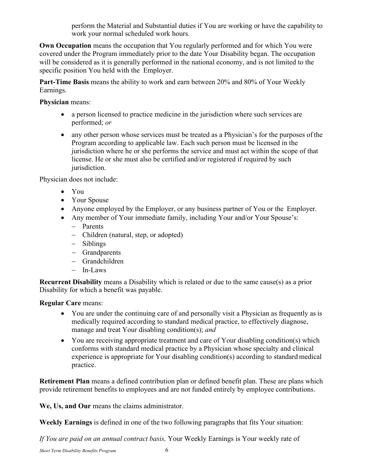perform the Material and Substantial duties if You are working or have the capability to work your normal scheduled work hours.

**Own Occupation** means the occupation that You regularly performed and for which You were covered under the Program immediately prior to the date Your Disability began. The occupation will be considered as it is generally performed in the national economy, and is not limited to the specific position You held with the Employer.

**Part-Time Basis** means the ability to work and earn between 20% and 80% of Your Weekly Earnings.

**Physician** means:

- a person licensed to practice medicine in the jurisdiction where such services are performed; *or*
- any other person whose services must be treated as a Physician's for the purposes of the Program according to applicable law. Each such person must be licensed in the jurisdiction where he or she performs the service and must act within the scope of that license. He or she must also be certified and/or registered if required by such jurisdiction.

Physician does not include:

- You
- Your Spouse
- Anyone employed by the Employer, or any business partner of You or the Employer.
- Any member of Your immediate family, including Your and/or Your Spouse's:
	- − Parents
	- − Children (natural, step, or adopted)
	- − Siblings
	- − Grandparents
	- − Grandchildren
	- − In-Laws

**Recurrent Disability** means a Disability which is related or due to the same cause(s) as a prior Disability for which a benefit was payable.

**Regular Care** means:

- You are under the continuing care of and personally visit a Physician as frequently as is medically required according to standard medical practice, to effectively diagnose, manage and treat Your disabling condition(s); *and*
- You are receiving appropriate treatment and care of Your disabling condition(s) which conforms with standard medical practice by a Physician whose specialty and clinical experience is appropriate for Your disabling condition(s) according to standard medical practice.

**Retirement Plan** means a defined contribution plan or defined benefit plan. These are plans which provide retirement benefits to employees and are not funded entirely by employee contributions.

**We, Us, and Our** means the claims administrator.

**Weekly Earnings** is defined in one of the two following paragraphs that fits Your situation:

*If You are paid on an annual contract basis,* Your Weekly Earnings is Your weekly rate of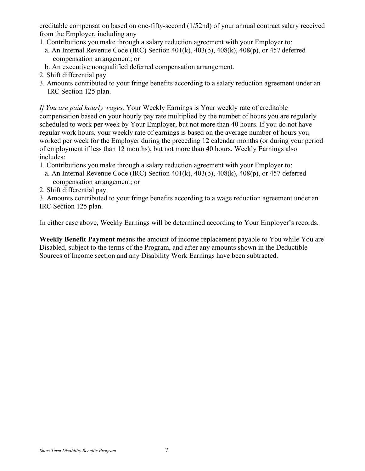creditable compensation based on one-fifty-second (1/52nd) of your annual contract salary received from the Employer, including any

- 1. Contributions you make through a salary reduction agreement with your Employer to:
- a. An Internal Revenue Code (IRC) Section 401(k), 403(b), 408(k), 408(p), or 457 deferred compensation arrangement; or
- b. An executive nonqualified deferred compensation arrangement.
- 2. Shift differential pay.
- 3. Amounts contributed to your fringe benefits according to a salary reduction agreement under an IRC Section 125 plan.

*If You are paid hourly wages,* Your Weekly Earnings is Your weekly rate of creditable compensation based on your hourly pay rate multiplied by the number of hours you are regularly scheduled to work per week by Your Employer, but not more than 40 hours. If you do not have regular work hours, your weekly rate of earnings is based on the average number of hours you worked per week for the Employer during the preceding 12 calendar months (or during your period of employment if less than 12 months), but not more than 40 hours. Weekly Earnings also includes:

- 1. Contributions you make through a salary reduction agreement with your Employer to:
	- a. An Internal Revenue Code (IRC) Section 401(k), 403(b), 408(k), 408(p), or 457 deferred compensation arrangement; or
- 2. Shift differential pay.

3. Amounts contributed to your fringe benefits according to a wage reduction agreement under an IRC Section 125 plan.

In either case above, Weekly Earnings will be determined according to Your Employer's records.

**Weekly Benefit Payment** means the amount of income replacement payable to You while You are Disabled, subject to the terms of the Program, and after any amounts shown in the Deductible Sources of Income section and any Disability Work Earnings have been subtracted.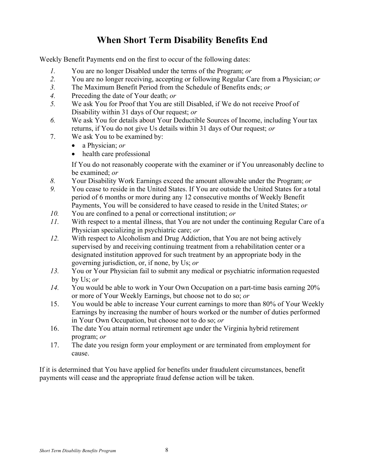### **When Short Term Disability Benefits End**

<span id="page-9-0"></span>Weekly Benefit Payments end on the first to occur of the following dates:

- *1.* You are no longer Disabled under the terms of the Program; *or*
- *2.* You are no longer receiving, accepting or following Regular Care from a Physician; *or*
- *3.* The Maximum Benefit Period from the Schedule of Benefits ends; *or*
- *4.* Preceding the date of Your death; *or*
- *5.* We ask You for Proof that You are still Disabled, if We do not receive Proof of Disability within 31 days of Our request; *or*
- *6.* We ask You for details about Your Deductible Sources of Income, including Your tax returns, if You do not give Us details within 31 days of Our request; *or*
- 7. We ask You to be examined by:
	- a Physician; *or*
	- health care professional

If You do not reasonably cooperate with the examiner or if You unreasonably decline to be examined; *or*

- *8.* Your Disability Work Earnings exceed the amount allowable under the Program; *or*
- *9.* You cease to reside in the United States. If You are outside the United States for a total period of 6 months or more during any 12 consecutive months of Weekly Benefit Payments, You will be considered to have ceased to reside in the United States; *or*
- *10.* You are confined to a penal or correctional institution; *or*
- *11.* With respect to a mental illness, that You are not under the continuing Regular Care of a Physician specializing in psychiatric care; *or*
- *12.* With respect to Alcoholism and Drug Addiction, that You are not being actively supervised by and receiving continuing treatment from a rehabilitation center or a designated institution approved for such treatment by an appropriate body in the governing jurisdiction, or, if none, by Us; *or*
- *13.* You or Your Physician fail to submit any medical or psychiatric information requested by Us; *or*
- *14.* You would be able to work in Your Own Occupation on a part-time basis earning 20% or more of Your Weekly Earnings, but choose not to do so; *or*
- 15. You would be able to increase Your current earnings to more than 80% of Your Weekly Earnings by increasing the number of hours worked or the number of duties performed in Your Own Occupation, but choose not to do so; *or*
- 16. The date You attain normal retirement age under the Virginia hybrid retirement program; *or*
- 17. The date you resign form your employment or are terminated from employment for cause.

If it is determined that You have applied for benefits under fraudulent circumstances, benefit payments will cease and the appropriate fraud defense action will be taken.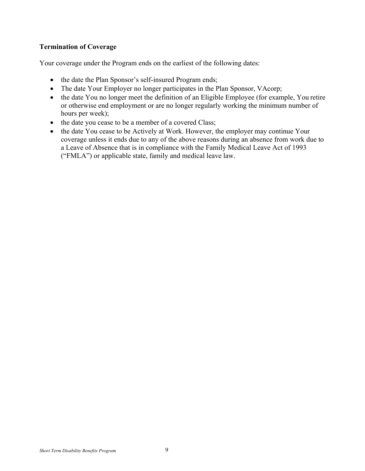### **Termination of Coverage**

Your coverage under the Program ends on the earliest of the following dates:

- the date the Plan Sponsor's self-insured Program ends;
- The date Your Employer no longer participates in the Plan Sponsor, VAcorp;
- the date You no longer meet the definition of an Eligible Employee (for example, You retire or otherwise end employment or are no longer regularly working the minimum number of hours per week);
- the date you cease to be a member of a covered Class;
- the date You cease to be Actively at Work. However, the employer may continue Your coverage unless it ends due to any of the above reasons during an absence from work due to a Leave of Absence that is in compliance with the Family Medical Leave Act of 1993 ("FMLA") or applicable state, family and medical leave law.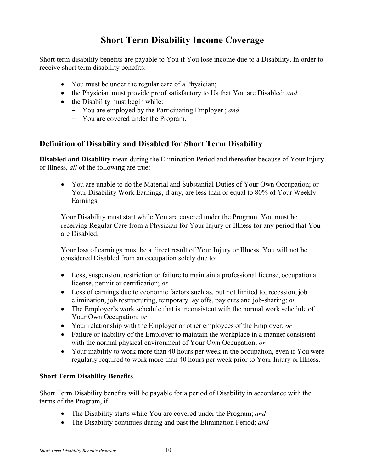### **Short Term Disability Income Coverage**

<span id="page-11-0"></span>Short term disability benefits are payable to You if You lose income due to a Disability. In order to receive short term disability benefits:

- You must be under the regular care of a Physician;
- the Physician must provide proof satisfactory to Us that You are Disabled; *and*
- the Disability must begin while:
	- You are employed by the Participating Employer ; *and*
	- You are covered under the Program.

### <span id="page-11-1"></span>**Definition of Disability and Disabled for Short Term Disability**

**Disabled and Disability** mean during the Elimination Period and thereafter because of Your Injury or Illness, *all* of the following are true:

• You are unable to do the Material and Substantial Duties of Your Own Occupation; or Your Disability Work Earnings, if any, are less than or equal to 80% of Your Weekly Earnings.

Your Disability must start while You are covered under the Program. You must be receiving Regular Care from a Physician for Your Injury or Illness for any period that You are Disabled.

Your loss of earnings must be a direct result of Your Injury or Illness. You will not be considered Disabled from an occupation solely due to:

- Loss, suspension, restriction or failure to maintain a professional license, occupational license, permit or certification; *or*
- Loss of earnings due to economic factors such as, but not limited to, recession, job elimination, job restructuring, temporary lay offs, pay cuts and job-sharing; *or*
- The Employer's work schedule that is inconsistent with the normal work schedule of Your Own Occupation; *or*
- Your relationship with the Employer or other employees of the Employer; *or*
- Failure or inability of the Employer to maintain the workplace in a manner consistent with the normal physical environment of Your Own Occupation; *or*
- Your inability to work more than 40 hours per week in the occupation, even if You were regularly required to work more than 40 hours per week prior to Your Injury or Illness.

#### <span id="page-11-2"></span>**Short Term Disability Benefits**

Short Term Disability benefits will be payable for a period of Disability in accordance with the terms of the Program, if:

- The Disability starts while You are covered under the Program; *and*
- The Disability continues during and past the Elimination Period; *and*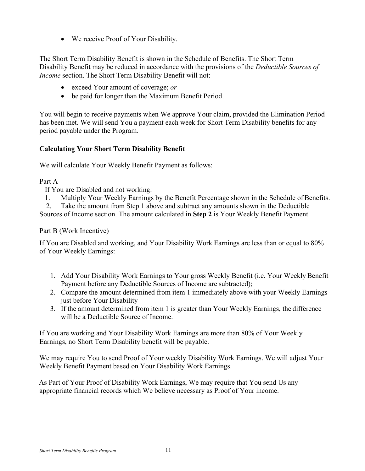• We receive Proof of Your Disability.

The Short Term Disability Benefit is shown in the Schedule of Benefits. The Short Term Disability Benefit may be reduced in accordance with the provisions of the *Deductible Sources of Income* section. The Short Term Disability Benefit will not:

- exceed Your amount of coverage; *or*
- be paid for longer than the Maximum Benefit Period.

You will begin to receive payments when We approve Your claim, provided the Elimination Period has been met. We will send You a payment each week for Short Term Disability benefits for any period payable under the Program.

### <span id="page-12-0"></span>**Calculating Your Short Term Disability Benefit**

We will calculate Your Weekly Benefit Payment as follows:

### Part A

If You are Disabled and not working:

1. Multiply Your Weekly Earnings by the Benefit Percentage shown in the Schedule of Benefits.

2. Take the amount from Step 1 above and subtract any amounts shown in the Deductible

Sources of Income section. The amount calculated in **Step 2** is Your Weekly Benefit Payment.

Part B (Work Incentive)

If You are Disabled and working, and Your Disability Work Earnings are less than or equal to 80% of Your Weekly Earnings:

- 1. Add Your Disability Work Earnings to Your gross Weekly Benefit (i.e. Your Weekly Benefit Payment before any Deductible Sources of Income are subtracted);
- 2. Compare the amount determined from item 1 immediately above with your Weekly Earnings just before Your Disability
- 3. If the amount determined from item 1 is greater than Your Weekly Earnings, the difference will be a Deductible Source of Income.

If You are working and Your Disability Work Earnings are more than 80% of Your Weekly Earnings, no Short Term Disability benefit will be payable.

We may require You to send Proof of Your weekly Disability Work Earnings. We will adjust Your Weekly Benefit Payment based on Your Disability Work Earnings.

As Part of Your Proof of Disability Work Earnings, We may require that You send Us any appropriate financial records which We believe necessary as Proof of Your income.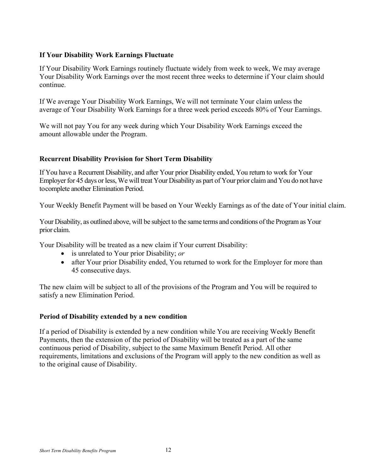### <span id="page-13-0"></span>**If Your Disability Work Earnings Fluctuate**

If Your Disability Work Earnings routinely fluctuate widely from week to week, We may average Your Disability Work Earnings over the most recent three weeks to determine if Your claim should continue.

If We average Your Disability Work Earnings, We will not terminate Your claim unless the average of Your Disability Work Earnings for a three week period exceeds 80% of Your Earnings.

We will not pay You for any week during which Your Disability Work Earnings exceed the amount allowable under the Program.

#### <span id="page-13-1"></span>**Recurrent Disability Provision for Short Term Disability**

If You have a Recurrent Disability, and after Your prior Disability ended, You return to work for Your Employer for 45 days or less, We will treat Your Disability as part of Your prior claim and You do not have tocomplete another Elimination Period.

Your Weekly Benefit Payment will be based on Your Weekly Earnings as of the date of Your initial claim.

Your Disability, as outlined above, will be subject to the same terms and conditions ofthe Program as Your prior claim.

Your Disability will be treated as a new claim if Your current Disability:

- is unrelated to Your prior Disability; *or*
- after Your prior Disability ended, You returned to work for the Employer for more than 45 consecutive days.

The new claim will be subject to all of the provisions of the Program and You will be required to satisfy a new Elimination Period.

#### **Period of Disability extended by a new condition**

If a period of Disability is extended by a new condition while You are receiving Weekly Benefit Payments, then the extension of the period of Disability will be treated as a part of the same continuous period of Disability, subject to the same Maximum Benefit Period. All other requirements, limitations and exclusions of the Program will apply to the new condition as well as to the original cause of Disability.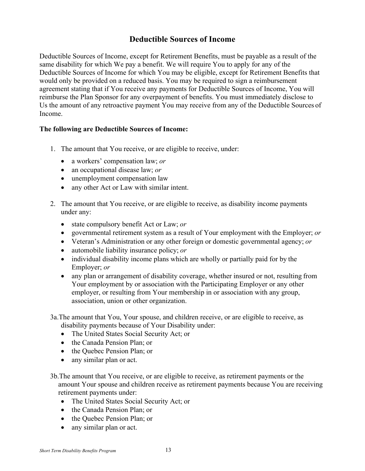### **Deductible Sources of Income**

Deductible Sources of Income, except for Retirement Benefits, must be payable as a result of the same disability for which We pay a benefit. We will require You to apply for any of the Deductible Sources of Income for which You may be eligible, except for Retirement Benefits that would only be provided on a reduced basis. You may be required to sign a reimbursement agreement stating that if You receive any payments for Deductible Sources of Income, You will reimburse the Plan Sponsor for any overpayment of benefits. You must immediately disclose to Us the amount of any retroactive payment You may receive from any of the Deductible Sources of Income.

### **The following are Deductible Sources of Income:**

- 1. The amount that You receive, or are eligible to receive, under:
	- a workers' compensation law; *or*
	- an occupational disease law; *or*
	- unemployment compensation law
	- any other Act or Law with similar intent.
- 2. The amount that You receive, or are eligible to receive, as disability income payments under any:
	- state compulsory benefit Act or Law; *or*
	- governmental retirement system as a result of Your employment with the Employer; *or*
	- Veteran's Administration or any other foreign or domestic governmental agency; *or*
	- automobile liability insurance policy; *or*
	- individual disability income plans which are wholly or partially paid for by the Employer; *or*
	- any plan or arrangement of disability coverage, whether insured or not, resulting from Your employment by or association with the Participating Employer or any other employer, or resulting from Your membership in or association with any group, association, union or other organization.
- 3a.The amount that You, Your spouse, and children receive, or are eligible to receive, as disability payments because of Your Disability under:
	- The United States Social Security Act; or
	- the Canada Pension Plan; or
	- the Quebec Pension Plan; or
	- any similar plan or act.
- 3b.The amount that You receive, or are eligible to receive, as retirement payments or the amount Your spouse and children receive as retirement payments because You are receiving retirement payments under:
	- The United States Social Security Act; or
	- the Canada Pension Plan; or
	- the Quebec Pension Plan; or
	- any similar plan or act.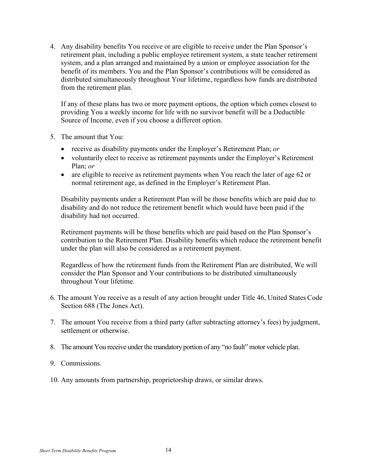4. Any disability benefits You receive or are eligible to receive under the Plan Sponsor's retirement plan, including a public employee retirement system, a state teacher retirement system, and a plan arranged and maintained by a union or employee association for the benefit of its members. You and the Plan Sponsor's contributions will be considered as distributed simultaneously throughout Your lifetime, regardless how funds are distributed from the retirement plan.

If any of these plans has two or more payment options, the option which comes closest to providing You a weekly income for life with no survivor benefit will be a Deductible Source of Income, even if you choose a different option.

- 5. The amount that You:
	- receive as disability payments under the Employer's Retirement Plan; *or*
	- voluntarily elect to receive as retirement payments under the Employer's Retirement Plan; *or*
	- are eligible to receive as retirement payments when You reach the later of age 62 or normal retirement age, as defined in the Employer's Retirement Plan.

Disability payments under a Retirement Plan will be those benefits which are paid due to disability and do not reduce the retirement benefit which would have been paid if the disability had not occurred.

Retirement payments will be those benefits which are paid based on the Plan Sponsor's contribution to the Retirement Plan. Disability benefits which reduce the retirement benefit under the plan will also be considered as a retirement payment.

Regardless of how the retirement funds from the Retirement Plan are distributed, We will consider the Plan Sponsor and Your contributions to be distributed simultaneously throughout Your lifetime.

- 6. The amount You receive as a result of any action brought under Title 46, United States Code Section 688 (The Jones Act).
- 7. The amount You receive from a third party (after subtracting attorney's fees) by judgment, settlement or otherwise.
- 8. The amount You receive underthe mandatory portion of any "no fault"motor vehicle plan.
- 9. Commissions.
- 10. Any amounts from partnership, proprietorship draws, or similar draws.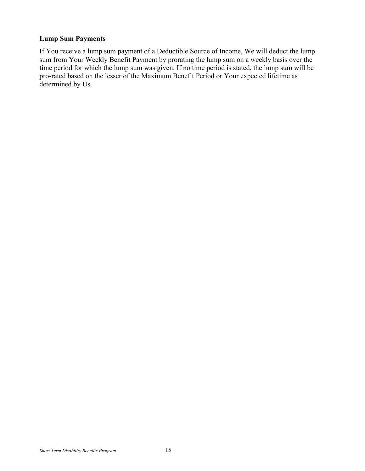### <span id="page-16-0"></span>**Lump Sum Payments**

If You receive a lump sum payment of a Deductible Source of Income, We will deduct the lump sum from Your Weekly Benefit Payment by prorating the lump sum on a weekly basis over the time period for which the lump sum was given. If no time period is stated, the lump sum will be pro-rated based on the lesser of the Maximum Benefit Period or Your expected lifetime as determined by Us.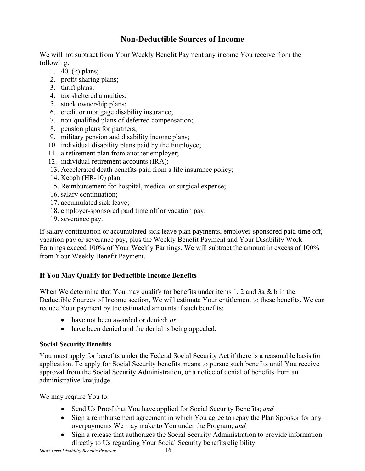### **Non-Deductible Sources of Income**

<span id="page-17-0"></span>We will not subtract from Your Weekly Benefit Payment any income You receive from the following:

- 1. 401(k) plans;
- 2. profit sharing plans;
- 3. thrift plans;
- 4. tax sheltered annuities;
- 5. stock ownership plans;
- 6. credit or mortgage disability insurance;
- 7. non-qualified plans of deferred compensation;
- 8. pension plans for partners;
- 9. military pension and disability income plans;
- 10. individual disability plans paid by the Employee;
- 11. a retirement plan from another employer;
- 12. individual retirement accounts (IRA);
- 13. Accelerated death benefits paid from a life insurance policy;
- 14. Keogh (HR-10) plan;
- 15. Reimbursement for hospital, medical or surgical expense;
- 16. salary continuation;
- 17. accumulated sick leave;
- 18. employer-sponsored paid time off or vacation pay;
- 19. severance pay.

If salary continuation or accumulated sick leave plan payments, employer-sponsored paid time off, vacation pay or severance pay, plus the Weekly Benefit Payment and Your Disability Work Earnings exceed 100% of Your Weekly Earnings, We will subtract the amount in excess of 100% from Your Weekly Benefit Payment.

### <span id="page-17-1"></span>**If You May Qualify for Deductible Income Benefits**

When We determine that You may qualify for benefits under items 1, 2 and 3a & b in the Deductible Sources of Income section, We will estimate Your entitlement to these benefits. We can reduce Your payment by the estimated amounts if such benefits:

- have not been awarded or denied; *or*
- have been denied and the denial is being appealed.

### <span id="page-17-2"></span>**Social Security Benefits**

You must apply for benefits under the Federal Social Security Act if there is a reasonable basisfor application. To apply for Social Security benefits means to pursue such benefits until You receive approval from the Social Security Administration, or a notice of denial of benefits from an administrative law judge.

We may require You to:

- Send Us Proof that You have applied for Social Security Benefits; *and*
- Sign a reimbursement agreement in which You agree to repay the Plan Sponsor for any overpayments We may make to You under the Program; *and*
- Sign a release that authorizes the Social Security Administration to provide information directly to Us regarding Your Social Security benefits eligibility.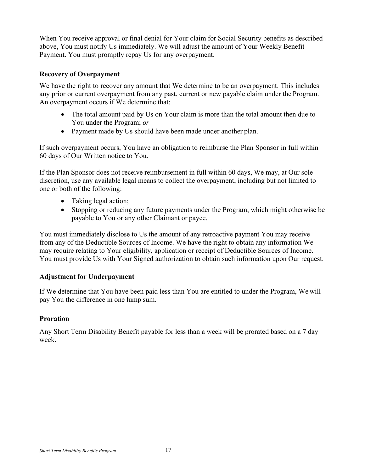When You receive approval or final denial for Your claim for Social Security benefits as described above, You must notify Us immediately. We will adjust the amount of Your Weekly Benefit Payment. You must promptly repay Us for any overpayment.

### **Recovery of Overpayment**

We have the right to recover any amount that We determine to be an overpayment. This includes any prior or current overpayment from any past, current or new payable claim under the Program. An overpayment occurs if We determine that:

- The total amount paid by Us on Your claim is more than the total amount then due to You under the Program; *or*
- Payment made by Us should have been made under another plan.

If such overpayment occurs, You have an obligation to reimburse the Plan Sponsor in full within 60 days of Our Written notice to You.

If the Plan Sponsor does not receive reimbursement in full within 60 days, We may, at Our sole discretion, use any available legal means to collect the overpayment, including but not limited to one or both of the following:

- Taking legal action;
- Stopping or reducing any future payments under the Program, which might otherwise be payable to You or any other Claimant or payee.

You must immediately disclose to Us the amount of any retroactive payment You may receive from any of the Deductible Sources of Income. We have the right to obtain any information We may require relating to Your eligibility, application or receipt of Deductible Sources of Income. You must provide Us with Your Signed authorization to obtain such information upon Our request.

### **Adjustment for Underpayment**

If We determine that You have been paid less than You are entitled to under the Program, We will pay You the difference in one lump sum.

### **Proration**

Any Short Term Disability Benefit payable for less than a week will be prorated based on a 7 day week.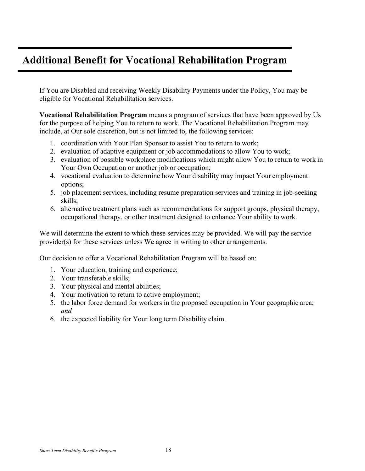# **Additional Benefit for Vocational Rehabilitation Program**

If You are Disabled and receiving Weekly Disability Payments under the Policy, You may be eligible for Vocational Rehabilitation services.

**Vocational Rehabilitation Program** means a program of services that have been approved by Us for the purpose of helping You to return to work. The Vocational Rehabilitation Program may include, at Our sole discretion, but is not limited to, the following services:

- 1. coordination with Your Plan Sponsor to assist You to return to work;
- 2. evaluation of adaptive equipment or job accommodations to allow You to work;
- 3. evaluation of possible workplace modifications which might allow You to return to work in Your Own Occupation or another job or occupation;
- 4. vocational evaluation to determine how Your disability may impact Your employment options;
- 5. job placement services, including resume preparation services and training in job-seeking skills;
- 6. alternative treatment plans such as recommendations for support groups, physical therapy, occupational therapy, or other treatment designed to enhance Your ability to work.

We will determine the extent to which these services may be provided. We will pay the service provider(s) for these services unless We agree in writing to other arrangements.

Our decision to offer a Vocational Rehabilitation Program will be based on:

- 1. Your education, training and experience;
- 2. Your transferable skills;
- 3. Your physical and mental abilities;
- 4. Your motivation to return to active employment;
- 5. the labor force demand for workers in the proposed occupation in Your geographic area; *and*
- 6. the expected liability for Your long term Disability claim.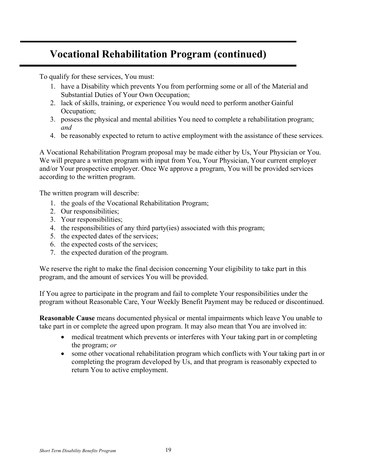# **Vocational Rehabilitation Program (continued)**

To qualify for these services, You must:

- 1. have a Disability which prevents You from performing some or all of the Material and Substantial Duties of Your Own Occupation;
- 2. lack of skills, training, or experience You would need to perform another Gainful Occupation;
- 3. possess the physical and mental abilities You need to complete a rehabilitation program; *and*
- 4. be reasonably expected to return to active employment with the assistance of these services.

A Vocational Rehabilitation Program proposal may be made either by Us, Your Physician or You. We will prepare a written program with input from You, Your Physician, Your current employer and/or Your prospective employer. Once We approve a program, You will be provided services according to the written program.

The written program will describe:

- 1. the goals of the Vocational Rehabilitation Program;
- 2. Our responsibilities;
- 3. Your responsibilities;
- 4. the responsibilities of any third party(ies) associated with this program;
- 5. the expected dates of the services;
- 6. the expected costs of the services;
- 7. the expected duration of the program.

We reserve the right to make the final decision concerning Your eligibility to take part in this program, and the amount of services You will be provided.

If You agree to participate in the program and fail to complete Your responsibilities under the program without Reasonable Care, Your Weekly Benefit Payment may be reduced or discontinued.

**Reasonable Cause** means documented physical or mental impairments which leave You unable to take part in or complete the agreed upon program. It may also mean that You are involved in:

- medical treatment which prevents or interferes with Your taking part in or completing the program; *or*
- some other vocational rehabilitation program which conflicts with Your taking part in or completing the program developed by Us, and that program is reasonably expected to return You to active employment.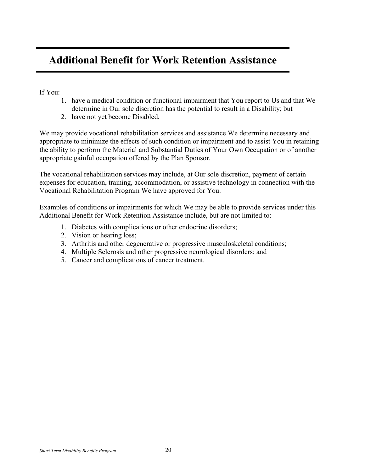# **Additional Benefit for Work Retention Assistance**

If You:

- 1. have a medical condition or functional impairment that You report to Us and that We determine in Our sole discretion has the potential to result in a Disability; but
- 2. have not yet become Disabled,

We may provide vocational rehabilitation services and assistance We determine necessary and appropriate to minimize the effects of such condition or impairment and to assist You in retaining the ability to perform the Material and Substantial Duties of Your Own Occupation or of another appropriate gainful occupation offered by the Plan Sponsor.

The vocational rehabilitation services may include, at Our sole discretion, payment of certain expenses for education, training, accommodation, or assistive technology in connection with the Vocational Rehabilitation Program We have approved for You.

Examples of conditions or impairments for which We may be able to provide services under this Additional Benefit for Work Retention Assistance include, but are not limited to:

- 1. Diabetes with complications or other endocrine disorders;
- 2. Vision or hearing loss;
- 3. Arthritis and other degenerative or progressive musculoskeletal conditions;
- 4. Multiple Sclerosis and other progressive neurological disorders; and
- 5. Cancer and complications of cancer treatment.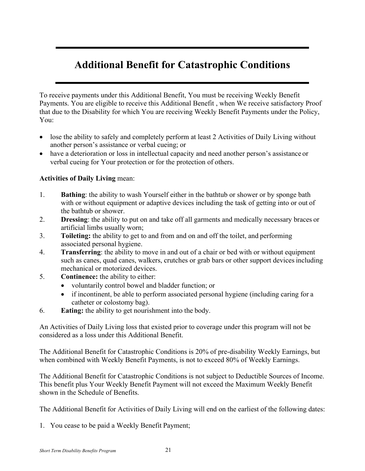# **Additional Benefit for Catastrophic Conditions**

To receive payments under this Additional Benefit, You must be receiving Weekly Benefit Payments. You are eligible to receive this Additional Benefit , when We receive satisfactory Proof that due to the Disability for which You are receiving Weekly Benefit Payments under the Policy, You:

- lose the ability to safely and completely perform at least 2 Activities of Daily Living without another person's assistance or verbal cueing; or
- have a deterioration or loss in intellectual capacity and need another person's assistance or verbal cueing for Your protection or for the protection of others.

### **Activities of Daily Living** mean:

- 1. **Bathing**: the ability to wash Yourself either in the bathtub or shower or by sponge bath with or without equipment or adaptive devices including the task of getting into or out of the bathtub or shower.
- 2. **Dressing**: the ability to put on and take off all garments and medically necessary braces or artificial limbs usually worn;
- 3. **Toileting:** the ability to get to and from and on and off the toilet, and performing associated personal hygiene.
- 4. **Transferring**: the ability to move in and out of a chair or bed with or without equipment such as canes, quad canes, walkers, crutches or grab bars or other support devices including mechanical or motorized devices.
- 5. **Continence:** the ability to either:
	- voluntarily control bowel and bladder function; or
	- if incontinent, be able to perform associated personal hygiene (including caring for a catheter or colostomy bag).
- 6. **Eating:** the ability to get nourishment into the body.

An Activities of Daily Living loss that existed prior to coverage under this program will not be considered as a loss under this Additional Benefit.

The Additional Benefit for Catastrophic Conditions is 20% of pre-disability Weekly Earnings, but when combined with Weekly Benefit Payments, is not to exceed 80% of Weekly Earnings.

The Additional Benefit for Catastrophic Conditions is not subject to Deductible Sources of Income. This benefit plus Your Weekly Benefit Payment will not exceed the Maximum Weekly Benefit shown in the Schedule of Benefits.

The Additional Benefit for Activities of Daily Living will end on the earliest of the following dates:

1. You cease to be paid a Weekly Benefit Payment;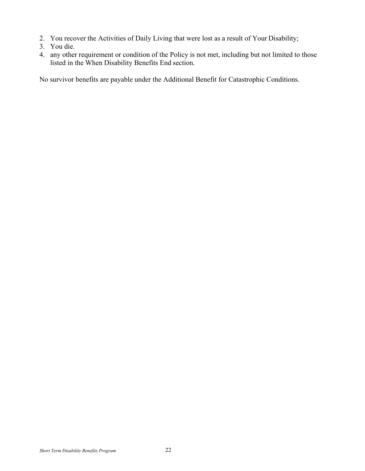- 2. You recover the Activities of Daily Living that were lost as a result of Your Disability;
- 3. You die.
- 4. any other requirement or condition of the Policy is not met, including but not limited to those listed in the When Disability Benefits End section.

No survivor benefits are payable under the Additional Benefit for Catastrophic Conditions.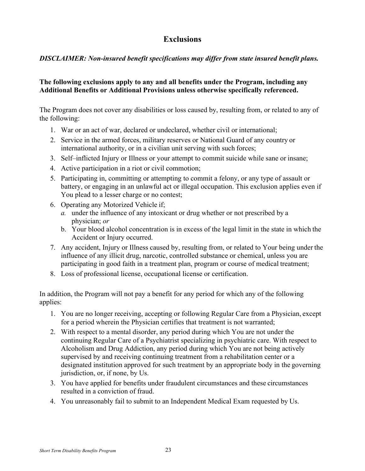### **Exclusions**

### <span id="page-24-0"></span>*DISCLAIMER: Non-insured benefit specifications may differ from state insured benefit plans.*

### **The following exclusions apply to any and all benefits under the Program, including any Additional Benefits or Additional Provisions unless otherwise specifically referenced.**

The Program does not cover any disabilities or loss caused by, resulting from, or related to any of the following:

- 1. War or an act of war, declared or undeclared, whether civil or international;
- 2. Service in the armed forces, military reserves or National Guard of any country or international authority, or in a civilian unit serving with such forces;
- 3. Self–inflicted Injury or Illness or your attempt to commit suicide while sane or insane;
- 4. Active participation in a riot or civil commotion;
- 5. Participating in, committing or attempting to commit a felony, or any type of assault or battery, or engaging in an unlawful act or illegal occupation. This exclusion applies even if You plead to a lesser charge or no contest;
- 6. Operating any Motorized Vehicle if;
	- *a.* under the influence of any intoxicant or drug whether or not prescribed by a physician; *or*
	- b. Your blood alcohol concentration is in excess of the legal limit in the state in which the Accident or Injury occurred.
- 7. Any accident, Injury or Illness caused by, resulting from, or related to Your being under the influence of any illicit drug, narcotic, controlled substance or chemical, unless you are participating in good faith in a treatment plan, program or course of medical treatment;
- 8. Loss of professional license, occupational license or certification.

In addition, the Program will not pay a benefit for any period for which any of the following applies:

- 1. You are no longer receiving, accepting or following Regular Care from a Physician, except for a period wherein the Physician certifies that treatment is not warranted;
- 2. With respect to a mental disorder, any period during which You are not under the continuing Regular Care of a Psychiatrist specializing in psychiatric care. With respect to Alcoholism and Drug Addiction, any period during which You are not being actively supervised by and receiving continuing treatment from a rehabilitation center or a designated institution approved for such treatment by an appropriate body in the governing jurisdiction, or, if none, by Us.
- 3. You have applied for benefits under fraudulent circumstances and these circumstances resulted in a conviction of fraud.
- 4. You unreasonably fail to submit to an Independent Medical Exam requested by Us.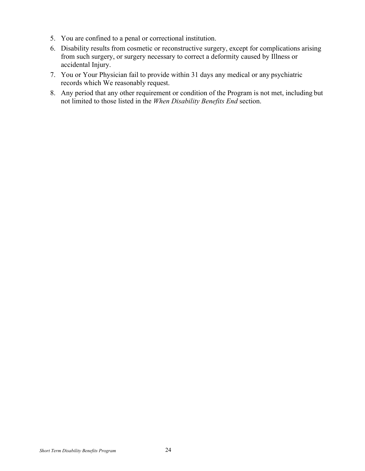- 5. You are confined to a penal or correctional institution.
- 6. Disability results from cosmetic or reconstructive surgery, except for complications arising from such surgery, or surgery necessary to correct a deformity caused by Illness or accidental Injury.
- 7. You or Your Physician fail to provide within 31 days any medical or any psychiatric records which We reasonably request.
- 8. Any period that any other requirement or condition of the Program is not met, including but not limited to those listed in the *When Disability Benefits End* section.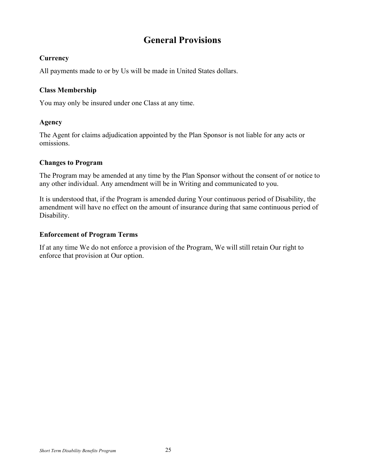### **General Provisions**

### <span id="page-26-1"></span><span id="page-26-0"></span>**Currency**

All payments made to or by Us will be made in United States dollars.

### <span id="page-26-2"></span>**Class Membership**

You may only be insured under one Class at any time.

### <span id="page-26-3"></span>**Agency**

The Agent for claims adjudication appointed by the Plan Sponsor is not liable for any acts or omissions.

### <span id="page-26-4"></span>**Changes to Program**

The Program may be amended at any time by the Plan Sponsor without the consent of or notice to any other individual. Any amendment will be in Writing and communicated to you.

It is understood that, if the Program is amended during Your continuous period of Disability, the amendment will have no effect on the amount of insurance during that same continuous period of Disability.

### <span id="page-26-5"></span>**Enforcement of Program Terms**

If at any time We do not enforce a provision of the Program, We will still retain Our right to enforce that provision at Our option.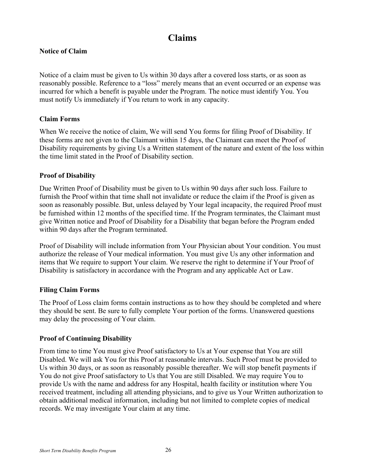### **Claims**

### <span id="page-27-0"></span>**Notice of Claim**

Notice of a claim must be given to Us within 30 days after a covered loss starts, or as soon as reasonably possible. Reference to a "loss" merely means that an event occurred or an expense was incurred for which a benefit is payable under the Program. The notice must identify You. You must notify Us immediately if You return to work in any capacity.

### <span id="page-27-1"></span>**Claim Forms**

When We receive the notice of claim, We will send You forms for filing Proof of Disability. If these forms are not given to the Claimant within 15 days, the Claimant can meet the Proof of Disability requirements by giving Us a Written statement of the nature and extent of the loss within the time limit stated in the Proof of Disability section.

### <span id="page-27-2"></span>**Proof of Disability**

Due Written Proof of Disability must be given to Us within 90 days after such loss. Failure to furnish the Proof within that time shall not invalidate or reduce the claim if the Proof is given as soon as reasonably possible. But, unless delayed by Your legal incapacity, the required Proof must be furnished within 12 months of the specified time. If the Program terminates, the Claimant must give Written notice and Proof of Disability for a Disability that began before the Program ended within 90 days after the Program terminated.

Proof of Disability will include information from Your Physician about Your condition. You must authorize the release of Your medical information. You must give Us any other information and items that We require to support Your claim. We reserve the right to determine if Your Proof of Disability is satisfactory in accordance with the Program and any applicable Act or Law.

### <span id="page-27-3"></span>**Filing Claim Forms**

The Proof of Loss claim forms contain instructions as to how they should be completed and where they should be sent. Be sure to fully complete Your portion of the forms. Unanswered questions may delay the processing of Your claim.

### <span id="page-27-4"></span>**Proof of Continuing Disability**

From time to time You must give Proof satisfactory to Us at Your expense that You are still Disabled. We will ask You for this Proof at reasonable intervals. Such Proof must be provided to Us within 30 days, or as soon as reasonably possible thereafter. We will stop benefit payments if You do not give Proof satisfactory to Us that You are still Disabled. We may require You to provide Us with the name and address for any Hospital, health facility or institution where You received treatment, including all attending physicians, and to give us Your Written authorization to obtain additional medical information, including but not limited to complete copies of medical records. We may investigate Your claim at any time.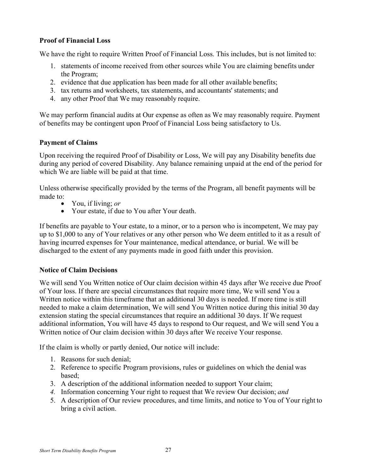### <span id="page-28-0"></span>**Proof of Financial Loss**

We have the right to require Written Proof of Financial Loss. This includes, but is not limited to:

- 1. statements of income received from other sources while You are claiming benefits under the Program;
- 2. evidence that due application has been made for all other available benefits;
- 3. tax returns and worksheets, tax statements, and accountants' statements; and
- 4. any other Proof that We may reasonably require.

We may perform financial audits at Our expense as often as We may reasonably require. Payment of benefits may be contingent upon Proof of Financial Loss being satisfactory to Us.

### <span id="page-28-1"></span>**Payment of Claims**

Upon receiving the required Proof of Disability or Loss, We will pay any Disability benefits due during any period of covered Disability. Any balance remaining unpaid at the end of the period for which We are liable will be paid at that time.

Unless otherwise specifically provided by the terms of the Program, all benefit payments will be made to:<br>• You, if living; *or* 

- 
- Your estate, if due to You after Your death.

If benefits are payable to Your estate, to a minor, or to a person who is incompetent, We may pay up to \$1,000 to any of Your relatives or any other person who We deem entitled to it as a result of having incurred expenses for Your maintenance, medical attendance, or burial. We will be discharged to the extent of any payments made in good faith under this provision.

### <span id="page-28-2"></span>**Notice of Claim Decisions**

We will send You Written notice of Our claim decision within 45 days after We receive due Proof of Your loss. If there are special circumstances that require more time, We will send You a Written notice within this timeframe that an additional 30 days is needed. If more time is still needed to make a claim determination, We will send You Written notice during this initial 30 day extension stating the special circumstances that require an additional 30 days. If We request additional information, You will have 45 days to respond to Our request, and We will send You a Written notice of Our claim decision within 30 days after We receive Your response.

If the claim is wholly or partly denied, Our notice will include:

- 1. Reasons for such denial;
- 2. Reference to specific Program provisions, rules or guidelines on which the denial was based;
- 3. A description of the additional information needed to support Your claim;
- *4.* Information concerning Your right to request that We review Our decision; *and*
- 5. A description of Our review procedures, and time limits, and notice to You of Your right to bring a civil action.